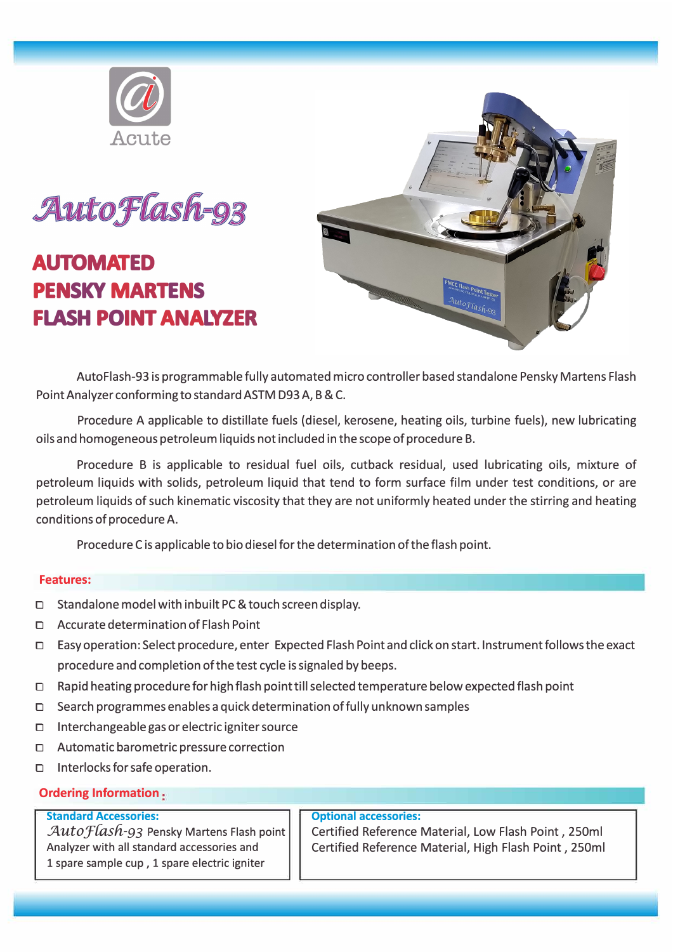



# **AUTOMATED PENSKY MARTENS FLASH POINT ANALVZER**



AutoFlash-93 is programmable fully automated micro controller based standalone Pensky Martens Flash PointAnalyzer conforming to standard ASTM D93A, B & C.

Procedure A applicable to distillate fuels (diesel, kerosene, heating oils, turbine fuels), new lubricating oils and homogeneous petroleum liquids not included in the scope of procedure B.

Procedure B is applicable to residual fuel oils, cutback residual, used lubricating oils, mixture of petroleum liquids with solids, petroleum liquid that tend to form surface film under test conditions, or are petroleum liquids of such kinematic viscosity that they are not uniformly heated under the stirring and heating conditions of procedure A.

Procedure C is applicable to bio diesel for the determination of the flash point.

#### **Features:**

- □ Standalone model with inbuilt PC & touch screen display.
- □ Accurate determination of Flash Point
- □ Easy operation: Select procedure, enter Expected Flash Point and click on start. Instrument follows the exact procedure and completion of the test cycle is signaled by beeps.
- □ Rapid heating procedure for high flash point till selected temperature below expected flash point
- $\Box$  Search programmes enables a quick determination of fully unknown samples
- □ Interchangeable gas or electric igniter source
- □ Automatic barometric pressure correction
- □ Interlocks for safe operation.

### **Ordering Information**

#### **Standard Accessories:**

Auto Flash-93 Pensky Martens Flash point Analyzer with all standard accessories and 1 spare sample cup, 1 spare electric igniter

#### **Optional accessories:**

Certified Reference Material, Low Flash Point , 250ml Certified Reference Material, High Flash Point , 250ml